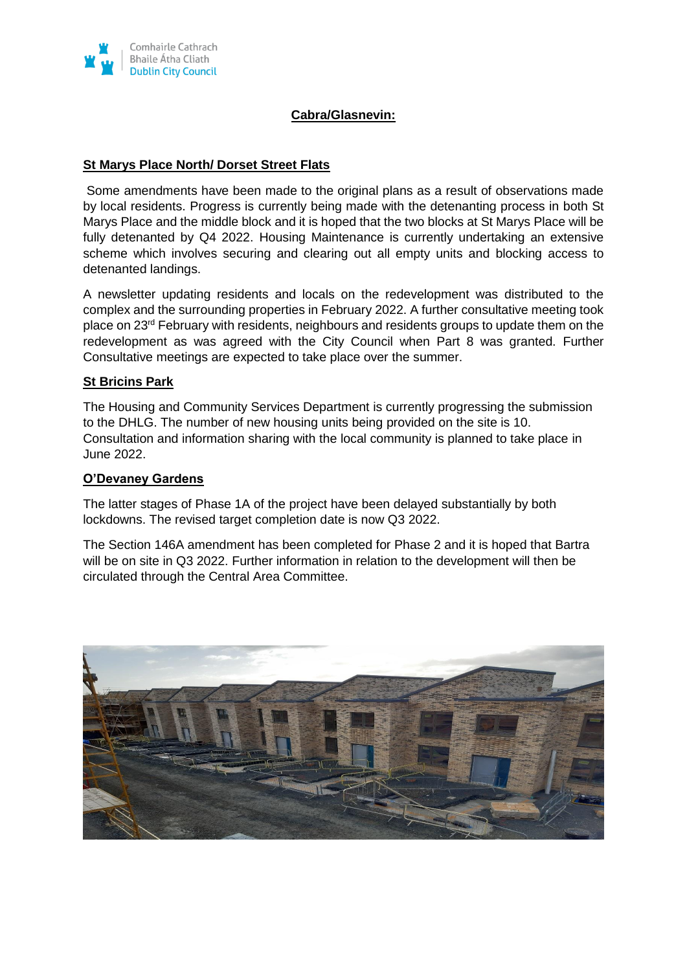

# **Cabra/Glasnevin:**

### **St Marys Place North/ Dorset Street Flats**

Some amendments have been made to the original plans as a result of observations made by local residents. Progress is currently being made with the detenanting process in both St Marys Place and the middle block and it is hoped that the two blocks at St Marys Place will be fully detenanted by Q4 2022. Housing Maintenance is currently undertaking an extensive scheme which involves securing and clearing out all empty units and blocking access to detenanted landings.

A newsletter updating residents and locals on the redevelopment was distributed to the complex and the surrounding properties in February 2022. A further consultative meeting took place on 23rd February with residents, neighbours and residents groups to update them on the redevelopment as was agreed with the City Council when Part 8 was granted. Further Consultative meetings are expected to take place over the summer.

# **St Bricins Park**

The Housing and Community Services Department is currently progressing the submission to the DHLG. The number of new housing units being provided on the site is 10. Consultation and information sharing with the local community is planned to take place in June 2022.

### **O'Devaney Gardens**

The latter stages of Phase 1A of the project have been delayed substantially by both lockdowns. The revised target completion date is now Q3 2022.

The Section 146A amendment has been completed for Phase 2 and it is hoped that Bartra will be on site in Q3 2022. Further information in relation to the development will then be circulated through the Central Area Committee.